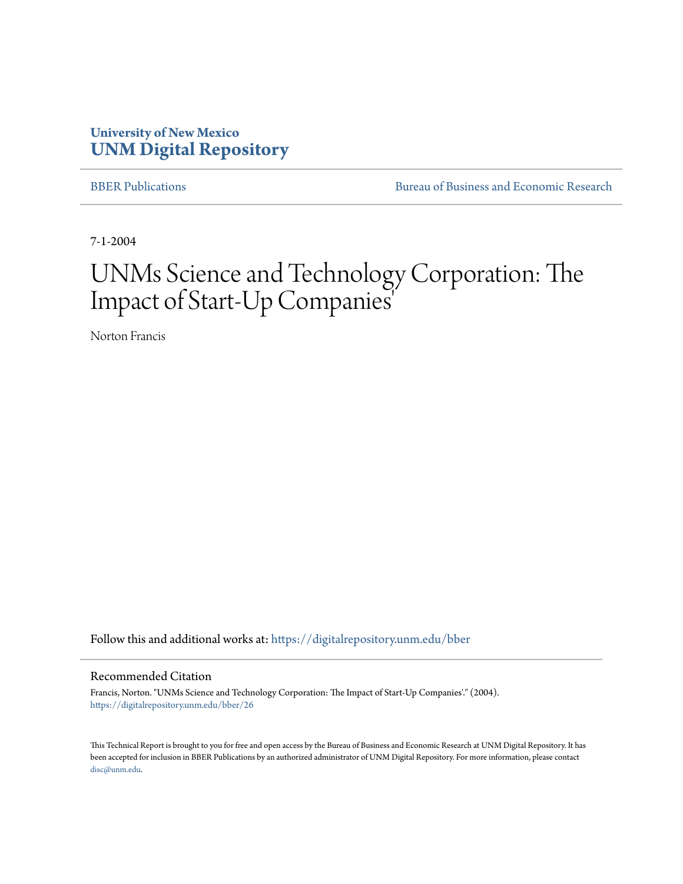### **University of New Mexico [UNM Digital Repository](https://digitalrepository.unm.edu?utm_source=digitalrepository.unm.edu%2Fbber%2F26&utm_medium=PDF&utm_campaign=PDFCoverPages)**

[BBER Publications](https://digitalrepository.unm.edu/bber?utm_source=digitalrepository.unm.edu%2Fbber%2F26&utm_medium=PDF&utm_campaign=PDFCoverPages) **BUREAU SERVICES** [Bureau of Business and Economic Research](https://digitalrepository.unm.edu/business_economic_research?utm_source=digitalrepository.unm.edu%2Fbber%2F26&utm_medium=PDF&utm_campaign=PDFCoverPages)

7-1-2004

# UNMs Science and Technology Corporation: The Impact of Start-Up Companies'

Norton Francis

Follow this and additional works at: [https://digitalrepository.unm.edu/bber](https://digitalrepository.unm.edu/bber?utm_source=digitalrepository.unm.edu%2Fbber%2F26&utm_medium=PDF&utm_campaign=PDFCoverPages)

#### Recommended Citation

Francis, Norton. "UNMs Science and Technology Corporation: The Impact of Start-Up Companies'." (2004). [https://digitalrepository.unm.edu/bber/26](https://digitalrepository.unm.edu/bber/26?utm_source=digitalrepository.unm.edu%2Fbber%2F26&utm_medium=PDF&utm_campaign=PDFCoverPages)

This Technical Report is brought to you for free and open access by the Bureau of Business and Economic Research at UNM Digital Repository. It has been accepted for inclusion in BBER Publications by an authorized administrator of UNM Digital Repository. For more information, please contact [disc@unm.edu](mailto:disc@unm.edu).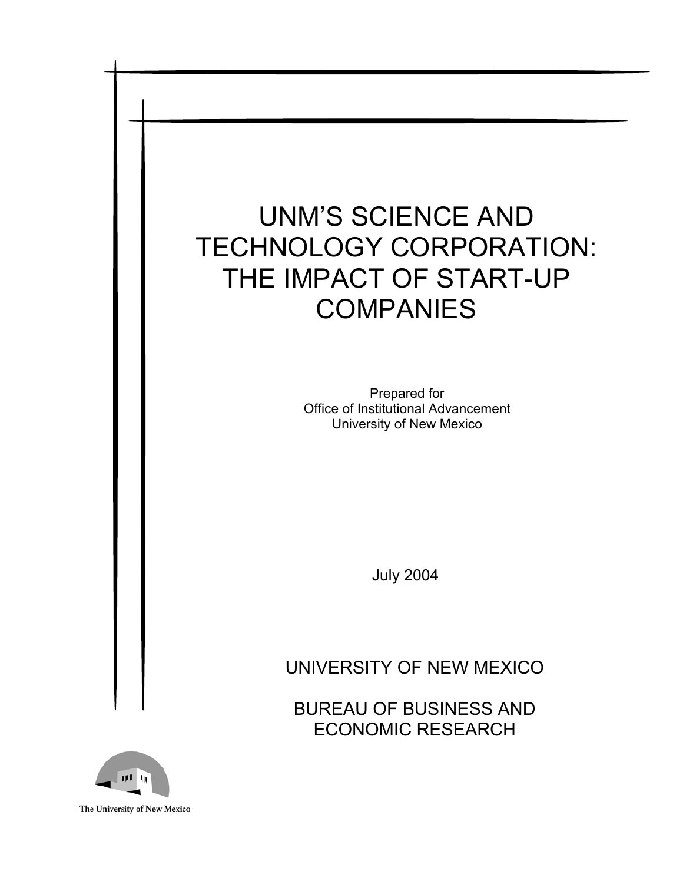# UNM'S SCIENCE AND TECHNOLOGY CORPORATION: THE IMPACT OF START-UP **COMPANIES**

Prepared for Office of Institutional Advancement University of New Mexico

July 2004

# UNIVERSITY OF NEW MEXICO

BUREAU OF BUSINESS AND ECONOMIC RESEARCH



The University of New Mexico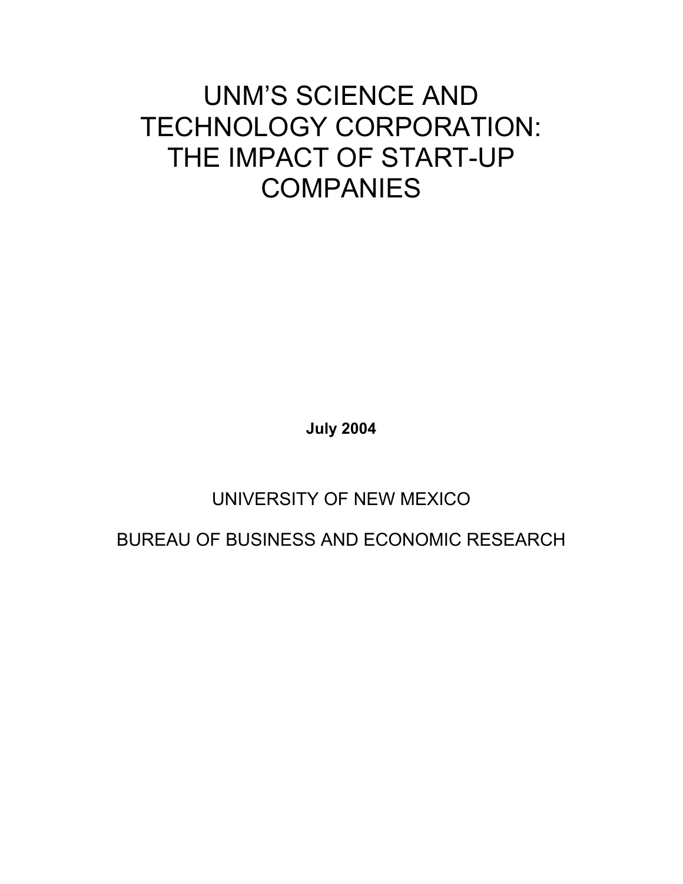# UNM'S SCIENCE AND TECHNOLOGY CORPORATION: THE IMPACT OF START-UP **COMPANIES**

**July 2004** 

# UNIVERSITY OF NEW MEXICO

BUREAU OF BUSINESS AND ECONOMIC RESEARCH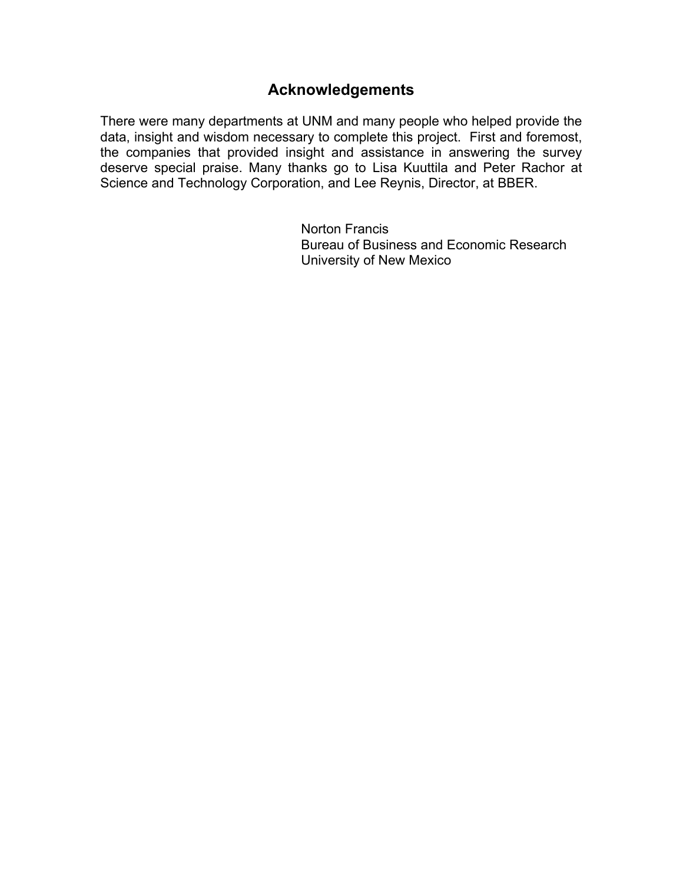### **Acknowledgements**

There were many departments at UNM and many people who helped provide the data, insight and wisdom necessary to complete this project. First and foremost, the companies that provided insight and assistance in answering the survey deserve special praise. Many thanks go to Lisa Kuuttila and Peter Rachor at Science and Technology Corporation, and Lee Reynis, Director, at BBER.

> Norton Francis Bureau of Business and Economic Research University of New Mexico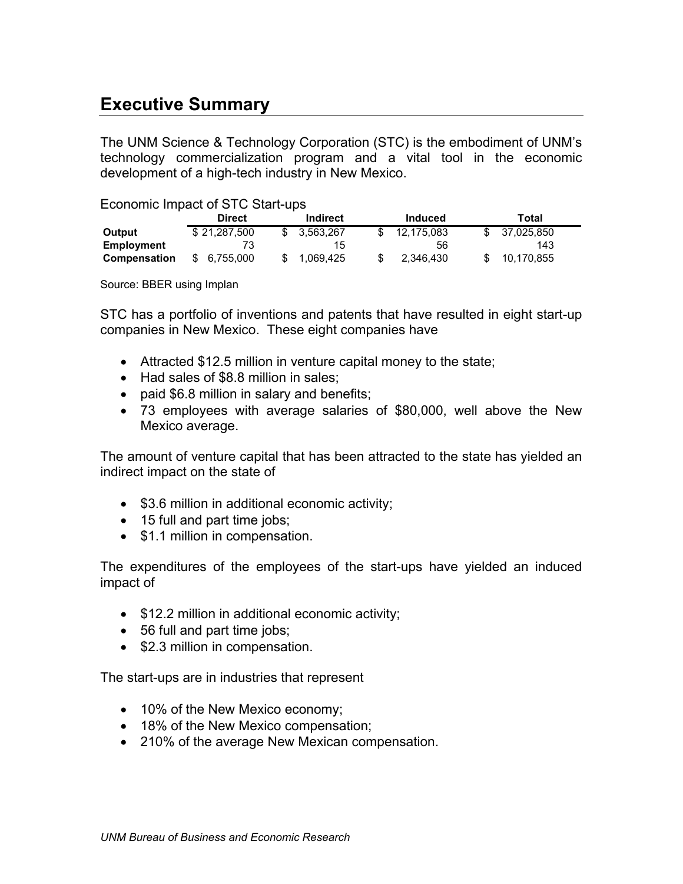### **Executive Summary**

The UNM Science & Technology Corporation (STC) is the embodiment of UNM's technology commercialization program and a vital tool in the economic development of a high-tech industry in New Mexico.

#### Economic Impact of STC Start-ups

|                     | <b>Direct</b> | Indirect  | Induced    | Total      |
|---------------------|---------------|-----------|------------|------------|
| Output              | \$21,287,500  | 3.563.267 | 12,175,083 | 37,025,850 |
| Employment          |               | 15.       | 56         | 143        |
| <b>Compensation</b> | \$ 6.755.000  | 1,069,425 | 2.346.430  | 10,170,855 |

Source: BBER using Implan

STC has a portfolio of inventions and patents that have resulted in eight start-up companies in New Mexico. These eight companies have

- Attracted \$12.5 million in venture capital money to the state;
- Had sales of \$8.8 million in sales;
- paid \$6.8 million in salary and benefits;
- 73 employees with average salaries of \$80,000, well above the New Mexico average.

The amount of venture capital that has been attracted to the state has yielded an indirect impact on the state of

- \$3.6 million in additional economic activity;
- 15 full and part time jobs;
- \$1.1 million in compensation.

The expenditures of the employees of the start-ups have yielded an induced impact of

- \$12.2 million in additional economic activity;
- 56 full and part time jobs;
- \$2.3 million in compensation.

The start-ups are in industries that represent

- 10% of the New Mexico economy;
- 18% of the New Mexico compensation;
- 210% of the average New Mexican compensation.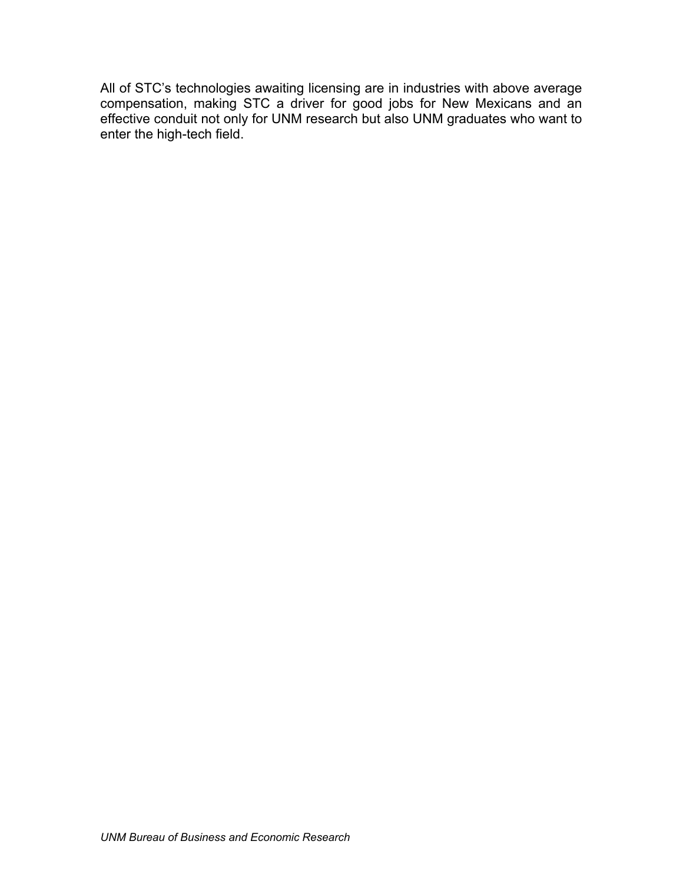All of STC's technologies awaiting licensing are in industries with above average compensation, making STC a driver for good jobs for New Mexicans and an effective conduit not only for UNM research but also UNM graduates who want to enter the high-tech field.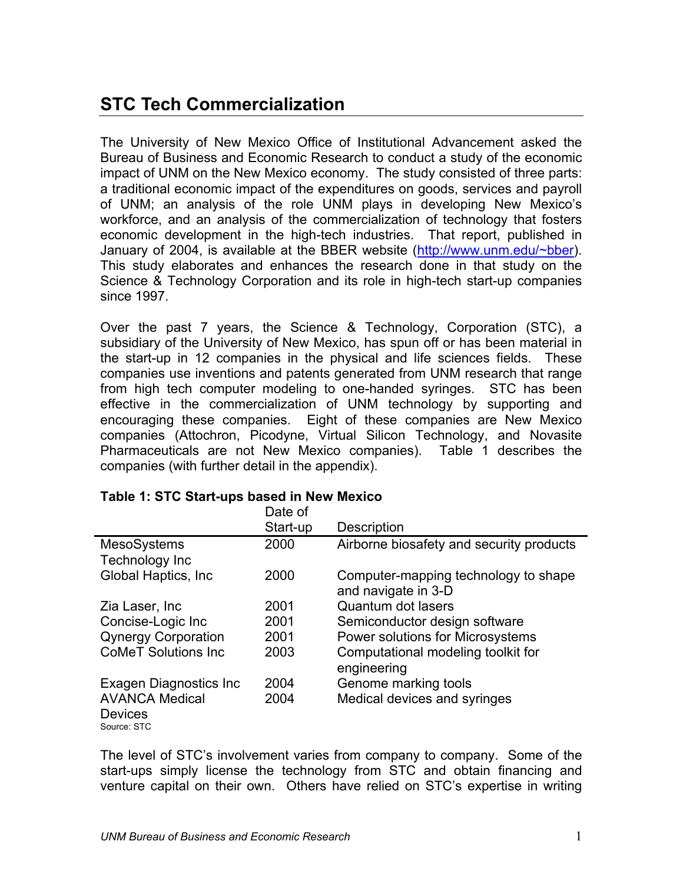# **STC Tech Commercialization**

The University of New Mexico Office of Institutional Advancement asked the Bureau of Business and Economic Research to conduct a study of the economic impact of UNM on the New Mexico economy. The study consisted of three parts: a traditional economic impact of the expenditures on goods, services and payroll of UNM; an analysis of the role UNM plays in developing New Mexico's workforce, and an analysis of the commercialization of technology that fosters economic development in the high-tech industries. That report, published in January of 2004, is available at the BBER website (http://www.unm.edu/~bber). This study elaborates and enhances the research done in that study on the Science & Technology Corporation and its role in high-tech start-up companies since 1997.

Over the past 7 years, the Science & Technology, Corporation (STC), a subsidiary of the University of New Mexico, has spun off or has been material in the start-up in 12 companies in the physical and life sciences fields. These companies use inventions and patents generated from UNM research that range from high tech computer modeling to one-handed syringes. STC has been effective in the commercialization of UNM technology by supporting and encouraging these companies. Eight of these companies are New Mexico companies (Attochron, Picodyne, Virtual Silicon Technology, and Novasite Pharmaceuticals are not New Mexico companies). Table 1 describes the companies (with further detail in the appendix).

|                             | Date of  |                                          |
|-----------------------------|----------|------------------------------------------|
|                             | Start-up | <b>Description</b>                       |
| <b>MesoSystems</b>          | 2000     | Airborne biosafety and security products |
| Technology Inc              |          |                                          |
| Global Haptics, Inc.        | 2000     | Computer-mapping technology to shape     |
|                             |          | and navigate in 3-D                      |
| Zia Laser, Inc.             | 2001     | Quantum dot lasers                       |
| Concise-Logic Inc           | 2001     | Semiconductor design software            |
| <b>Qynergy Corporation</b>  | 2001     | Power solutions for Microsystems         |
| <b>CoMeT Solutions Inc.</b> | 2003     | Computational modeling toolkit for       |
|                             |          | engineering                              |
| Exagen Diagnostics Inc.     | 2004     | Genome marking tools                     |
| <b>AVANCA Medical</b>       | 2004     | Medical devices and syringes             |
| <b>Devices</b>              |          |                                          |
| Source: STC                 |          |                                          |

#### **Table 1: STC Start-ups based in New Mexico**

The level of STC's involvement varies from company to company. Some of the start-ups simply license the technology from STC and obtain financing and venture capital on their own. Others have relied on STC's expertise in writing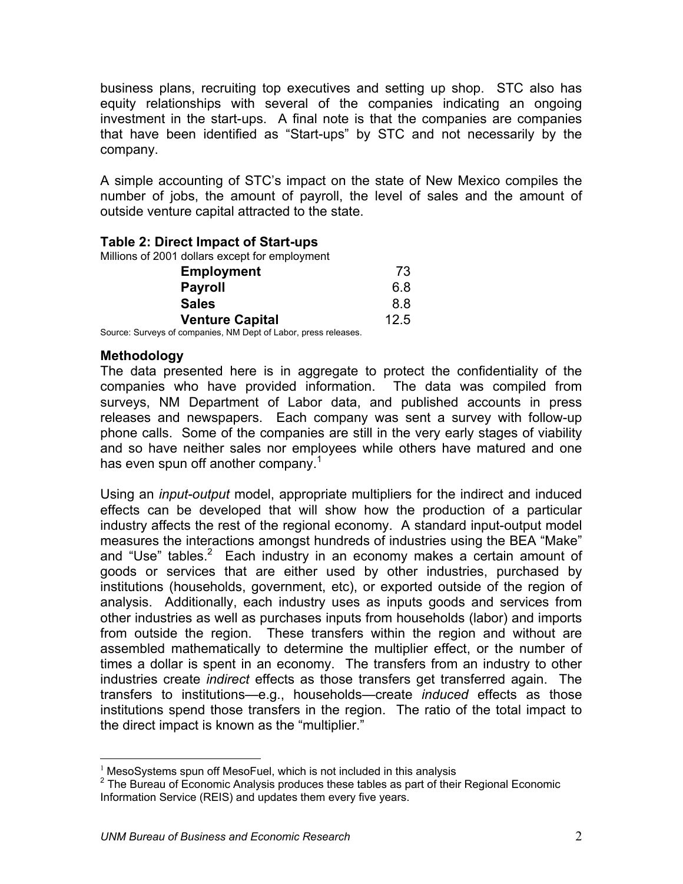business plans, recruiting top executives and setting up shop. STC also has equity relationships with several of the companies indicating an ongoing investment in the start-ups. A final note is that the companies are companies that have been identified as "Start-ups" by STC and not necessarily by the company.

A simple accounting of STC's impact on the state of New Mexico compiles the number of jobs, the amount of payroll, the level of sales and the amount of outside venture capital attracted to the state.

#### **Table 2: Direct Impact of Start-ups**

Millions of 2001 dollars except for employment

| 6.8  |
|------|
|      |
| 8.8  |
| 12.5 |
|      |

Source: Surveys of companies, NM Dept of Labor, press releases.

#### **Methodology**

The data presented here is in aggregate to protect the confidentiality of the companies who have provided information. The data was compiled from surveys, NM Department of Labor data, and published accounts in press releases and newspapers. Each company was sent a survey with follow-up phone calls. Some of the companies are still in the very early stages of viability and so have neither sales nor employees while others have matured and one has even spun off another company. $1$ 

Using an *input-output* model, appropriate multipliers for the indirect and induced effects can be developed that will show how the production of a particular industry affects the rest of the regional economy. A standard input-output model measures the interactions amongst hundreds of industries using the BEA "Make" and "Use" tables. $2$  Each industry in an economy makes a certain amount of goods or services that are either used by other industries, purchased by institutions (households, government, etc), or exported outside of the region of analysis. Additionally, each industry uses as inputs goods and services from other industries as well as purchases inputs from households (labor) and imports from outside the region. These transfers within the region and without are assembled mathematically to determine the multiplier effect, or the number of times a dollar is spent in an economy. The transfers from an industry to other industries create *indirect* effects as those transfers get transferred again. The transfers to institutions—e.g., households—create *induced* effects as those institutions spend those transfers in the region. The ratio of the total impact to the direct impact is known as the "multiplier."

 $\overline{a}$  $1$  MesoSystems spun off MesoFuel, which is not included in this analysis

 $2$  The Bureau of Economic Analysis produces these tables as part of their Regional Economic Information Service (REIS) and updates them every five years.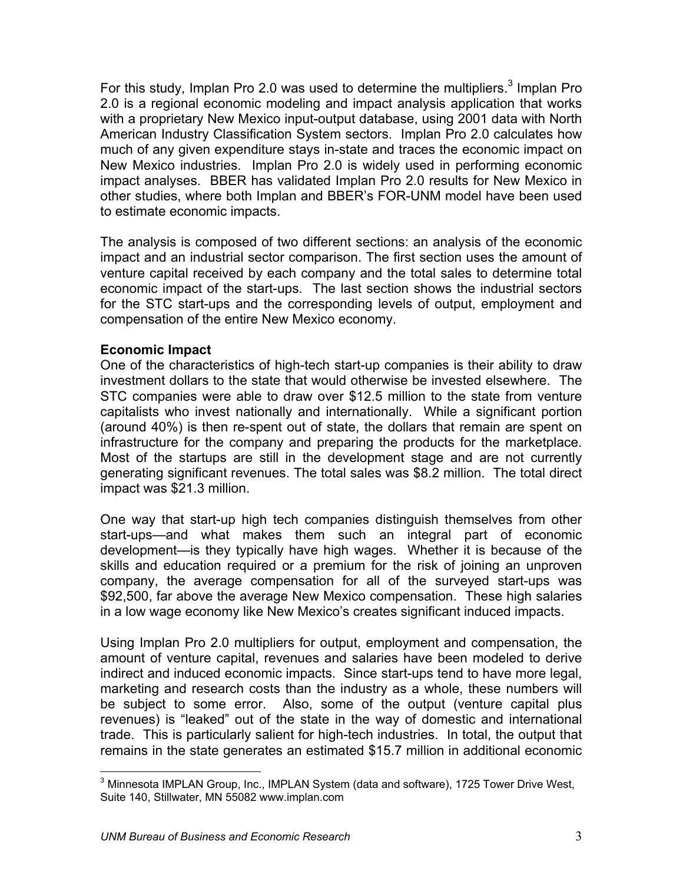For this study, Implan Pro 2.0 was used to determine the multipliers.<sup>3</sup> Implan Pro 2.0 is a regional economic modeling and impact analysis application that works with a proprietary New Mexico input-output database, using 2001 data with North American Industry Classification System sectors. Implan Pro 2.0 calculates how much of any given expenditure stays in-state and traces the economic impact on New Mexico industries. Implan Pro 2.0 is widely used in performing economic impact analyses. BBER has validated Implan Pro 2.0 results for New Mexico in other studies, where both Implan and BBER's FOR-UNM model have been used to estimate economic impacts.

The analysis is composed of two different sections: an analysis of the economic impact and an industrial sector comparison. The first section uses the amount of venture capital received by each company and the total sales to determine total economic impact of the start-ups. The last section shows the industrial sectors for the STC start-ups and the corresponding levels of output, employment and compensation of the entire New Mexico economy.

#### **Economic Impact**

One of the characteristics of high-tech start-up companies is their ability to draw investment dollars to the state that would otherwise be invested elsewhere. The STC companies were able to draw over \$12.5 million to the state from venture capitalists who invest nationally and internationally. While a significant portion (around 40%) is then re-spent out of state, the dollars that remain are spent on infrastructure for the company and preparing the products for the marketplace. Most of the startups are still in the development stage and are not currently generating significant revenues. The total sales was \$8.2 million. The total direct impact was \$21.3 million.

One way that start-up high tech companies distinguish themselves from other start-ups—and what makes them such an integral part of economic development—is they typically have high wages. Whether it is because of the skills and education required or a premium for the risk of joining an unproven company, the average compensation for all of the surveyed start-ups was \$92,500, far above the average New Mexico compensation. These high salaries in a low wage economy like New Mexico's creates significant induced impacts.

Using Implan Pro 2.0 multipliers for output, employment and compensation, the amount of venture capital, revenues and salaries have been modeled to derive indirect and induced economic impacts. Since start-ups tend to have more legal, marketing and research costs than the industry as a whole, these numbers will be subject to some error. Also, some of the output (venture capital plus revenues) is "leaked" out of the state in the way of domestic and international trade. This is particularly salient for high-tech industries. In total, the output that remains in the state generates an estimated \$15.7 million in additional economic

 3 Minnesota IMPLAN Group, Inc., IMPLAN System (data and software), 1725 Tower Drive West, Suite 140, Stillwater, MN 55082 www.implan.com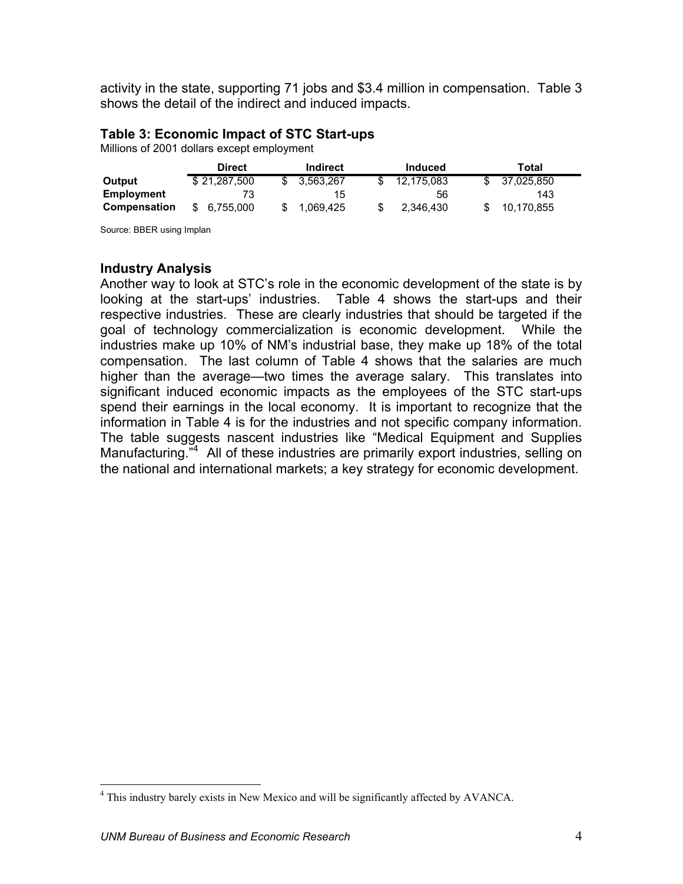activity in the state, supporting 71 jobs and \$3.4 million in compensation. Table 3 shows the detail of the indirect and induced impacts.

#### **Table 3: Economic Impact of STC Start-ups**

Millions of 2001 dollars except employment

|                     | <b>Direct</b><br>Indirect |           | Induced    | Total      |  |  |
|---------------------|---------------------------|-----------|------------|------------|--|--|
| Output              | \$21.287.500              | 3.563.267 | 12,175,083 | 37,025,850 |  |  |
| <b>Employment</b>   | 73                        | 15        | 56         | 143        |  |  |
| <b>Compensation</b> | 6.755.000<br>S.           | 1,069,425 | 2.346.430  | 10.170.855 |  |  |

Source: BBER using Implan

#### **Industry Analysis**

Another way to look at STC's role in the economic development of the state is by looking at the start-ups' industries. Table 4 shows the start-ups and their respective industries. These are clearly industries that should be targeted if the goal of technology commercialization is economic development. While the industries make up 10% of NM's industrial base, they make up 18% of the total compensation. The last column of Table 4 shows that the salaries are much higher than the average—two times the average salary. This translates into significant induced economic impacts as the employees of the STC start-ups spend their earnings in the local economy. It is important to recognize that the information in Table 4 is for the industries and not specific company information. The table suggests nascent industries like "Medical Equipment and Supplies Manufacturing.<sup>"4</sup> All of these industries are primarily export industries, selling on the national and international markets; a key strategy for economic development.

<u>.</u>

<sup>&</sup>lt;sup>4</sup> This industry barely exists in New Mexico and will be significantly affected by AVANCA.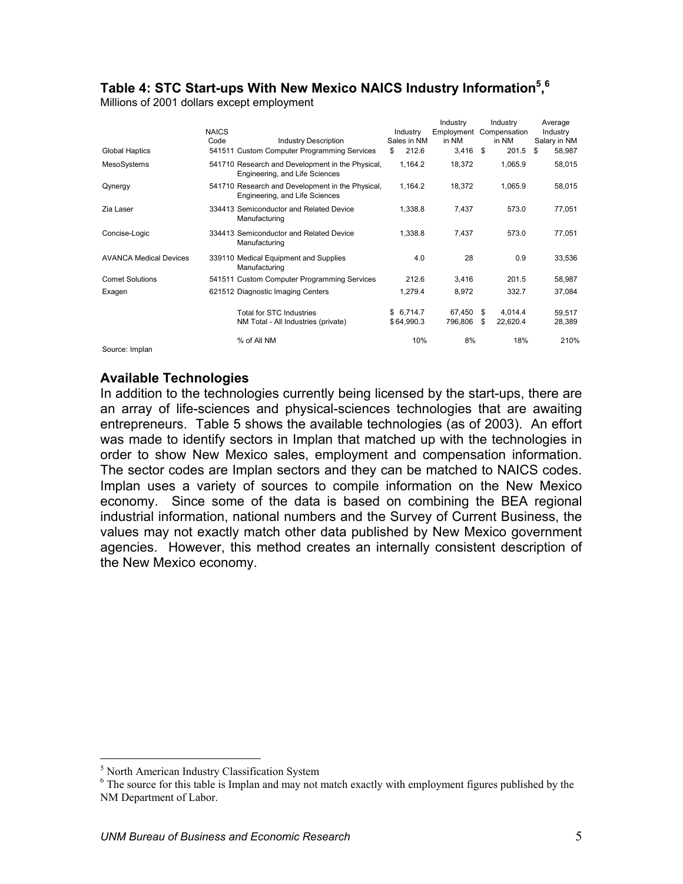#### **Table 4: STC Start-ups With New Mexico NAICS Industry Information5 , 6**

Millions of 2001 dollars except employment

|                               | <b>NAICS</b> |                                                                                    | Industry    | Industry<br>Employment Compensation |      | Industry | Average<br>Industry |
|-------------------------------|--------------|------------------------------------------------------------------------------------|-------------|-------------------------------------|------|----------|---------------------|
|                               | Code         | <b>Industry Description</b>                                                        | Sales in NM | in NM                               |      | in NM    | Salary in NM        |
| <b>Global Haptics</b>         |              | 541511 Custom Computer Programming Services                                        | 212.6<br>\$ | 3,416                               | - \$ | 201.5    | 58,987<br>S         |
| MesoSystems                   |              | 541710 Research and Development in the Physical,<br>Engineering, and Life Sciences | 1,164.2     | 18,372                              |      | 1,065.9  | 58,015              |
| Qynergy                       |              | 541710 Research and Development in the Physical,<br>Engineering, and Life Sciences | 1,164.2     | 18,372                              |      | 1,065.9  | 58,015              |
| Zia Laser                     |              | 334413 Semiconductor and Related Device<br>Manufacturing                           | 1.338.8     | 7,437                               |      | 573.0    | 77,051              |
| Concise-Logic                 |              | 334413 Semiconductor and Related Device<br>Manufacturing                           | 1.338.8     | 7,437                               |      | 573.0    | 77,051              |
| <b>AVANCA Medical Devices</b> |              | 339110 Medical Equipment and Supplies<br>Manufacturing                             | 4.0         | 28                                  |      | 0.9      | 33,536              |
| <b>Comet Solutions</b>        |              | 541511 Custom Computer Programming Services                                        | 212.6       | 3,416                               |      | 201.5    | 58,987              |
| Exagen                        |              | 621512 Diagnostic Imaging Centers                                                  | 1,279.4     | 8,972                               |      | 332.7    | 37,084              |
|                               |              | <b>Total for STC Industries</b>                                                    | \$6,714.7   | 67.450                              | - \$ | 4.014.4  | 59,517              |
|                               |              | NM Total - All Industries (private)                                                | \$64,990.3  | 796,806                             | -S   | 22,620.4 | 28,389              |
|                               |              | % of All NM                                                                        | 10%         | 8%                                  |      | 18%      | 210%                |

Source: Implan

#### **Available Technologies**

In addition to the technologies currently being licensed by the start-ups, there are an array of life-sciences and physical-sciences technologies that are awaiting entrepreneurs. Table 5 shows the available technologies (as of 2003). An effort was made to identify sectors in Implan that matched up with the technologies in order to show New Mexico sales, employment and compensation information. The sector codes are Implan sectors and they can be matched to NAICS codes. Implan uses a variety of sources to compile information on the New Mexico economy. Since some of the data is based on combining the BEA regional industrial information, national numbers and the Survey of Current Business, the values may not exactly match other data published by New Mexico government agencies. However, this method creates an internally consistent description of the New Mexico economy.

<sup>&</sup>lt;sup>5</sup><br>North American Industry Classification System<br><sup>6</sup> The source for this table is Implement may not

 $6$  The source for this table is Implan and may not match exactly with employment figures published by the NM Department of Labor.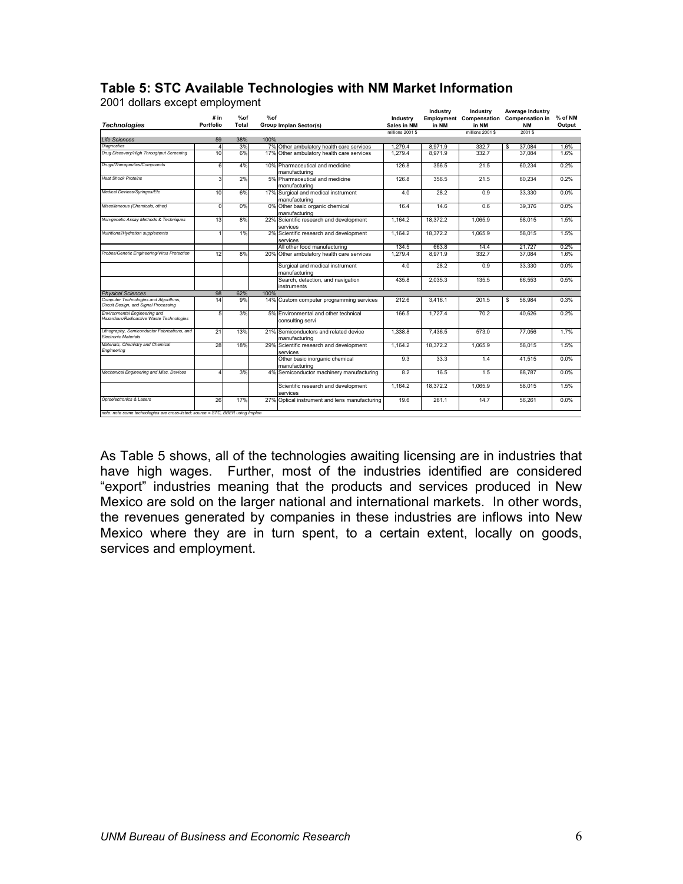|                                                                                |                      |           |      |                                                          |                                | Industry | Industry                       | Average Industry               |         |
|--------------------------------------------------------------------------------|----------------------|-----------|------|----------------------------------------------------------|--------------------------------|----------|--------------------------------|--------------------------------|---------|
|                                                                                | # in                 | %of       | %of  |                                                          | Industry                       |          | <b>Employment Compensation</b> | <b>Compensation in</b>         | % of NM |
| <b>Technologies</b>                                                            | Portfolio            | Total     |      | Group Implan Sector(s)                                   | Sales in NM<br>millions 2001 S | in NM    | in NM<br>millions 2001 \$      | <b>NM</b><br>2001 <sup>S</sup> | Output  |
|                                                                                |                      |           |      |                                                          |                                |          |                                |                                |         |
| <b>Life Sciences</b><br><b>Diagnostics</b>                                     | 59<br>$\overline{4}$ | 38%<br>3% | 100% | 7% Other ambulatory health care services                 | 1.279.4                        | 8.971.9  | 332.7                          | 37.084<br>\$                   | 1.6%    |
| Drug Discovery/High Throughput Screening                                       | 10                   | 6%        |      | 17% Other ambulatory health care services                | 1.279.4                        | 8.971.9  | 332.7                          | 37.084                         | 1.6%    |
|                                                                                |                      |           |      |                                                          |                                |          |                                |                                |         |
| Drugs/Therapeutics/Compounds                                                   | 6                    | 4%        |      | 10% Pharmaceutical and medicine<br>manufacturing         | 126.8                          | 356.5    | 21.5                           | 60,234                         | 0.2%    |
| <b>Heat Shock Proteins</b>                                                     | 3                    | 2%        |      | 5% Pharmaceutical and medicine<br>manufacturing          | 126.8                          | 356.5    | 21.5                           | 60.234                         | 0.2%    |
| Medical Devices/Svringes/Etc                                                   | 10                   | 6%        |      | 17% Surgical and medical instrument<br>manufacturing     | 4.0                            | 28.2     | 0.9                            | 33.330                         | 0.0%    |
| Miscellaneous (Chemicals, other)                                               | C                    | 0%        |      | 0% Other basic organic chemical<br>manufacturing         | 16.4                           | 14.6     | 0.6                            | 39.376                         | 0.0%    |
| Non-genetic Assay Methods & Techniques                                         | 13                   | 8%        |      | 22% Scientific research and development<br>services      | 1.164.2                        | 18.372.2 | 1.065.9                        | 58.015                         | 1.5%    |
| Nutritional/Hydration supplements                                              |                      | 1%        |      | 2% Scientific research and development<br>services       | 1.164.2                        | 18.372.2 | 1.065.9                        | 58.015                         | 1.5%    |
|                                                                                |                      |           |      | All other food manufacturing                             | 134.5                          | 663.8    | 14.4                           | 21.727                         | 0.2%    |
| Probes/Genetic Engineering/Virus Protection                                    | 12                   | 8%        |      | 20% Other ambulatory health care services                | 1.279.4                        | 8.971.9  | 332.7                          | 37.084                         | 1.6%    |
|                                                                                |                      |           |      | Surgical and medical instrument<br>manufacturing         | 4.0                            | 28.2     | 0.9                            | 33.330                         | 0.0%    |
|                                                                                |                      |           |      | Search, detection, and navigation<br>instruments         | 435.8                          | 2.035.3  | 135.5                          | 66.553                         | 0.5%    |
| <b>Physical Sciences</b>                                                       | 98                   | 62%       | 100% |                                                          |                                |          |                                |                                |         |
| Computer Technologies and Algorithms,<br>Circuit Design, and Signal Processing | 14                   | 9%        |      | 14% Custom computer programming services                 | 212.6                          | 3.416.1  | 201.5                          | 58.984<br>\$                   | 0.3%    |
| Environmental Engineering and<br>Hazardous/Radioactive Waste Technologies      | 5                    | 3%        |      | 5% Environmental and other technical<br>consulting servi | 166.5                          | 1.727.4  | 70.2                           | 40.626                         | 0.2%    |
| Lithography, Semiconductor Fabrications, and<br><b>Flectronic Materials</b>    | 21                   | 13%       |      | 21% Semiconductors and related device<br>manufacturing   | 1.338.8                        | 7.436.5  | 573.0                          | 77,056                         | 1.7%    |
| Materials, Chemistry and Chemical<br>Engineering                               | 28                   | 18%       |      | 29% Scientific research and development<br>services      | 1.164.2                        | 18.372.2 | 1.065.9                        | 58.015                         | 1.5%    |
|                                                                                |                      |           |      | Other basic inorganic chemical<br>manufacturing          | 9.3                            | 33.3     | 1.4                            | 41.515                         | 0.0%    |
| Mechanical Engineering and Misc. Devices                                       |                      | 3%        |      | 4% Semiconductor machinery manufacturing                 | 8.2                            | 16.5     | 1.5                            | 88,787                         | 0.0%    |
|                                                                                |                      |           |      | Scientific research and development<br>services          | 1.164.2                        | 18,372.2 | 1.065.9                        | 58.015                         | 1.5%    |
| Optoelectronics & Lasers                                                       | 26                   | 17%       |      | 27% Optical instrument and lens manufacturing            | 19.6                           | 261.1    | 14.7                           | 56.261                         | $0.0\%$ |
| note: note some technologies are cross-listed; source = STC, BBER using Implan |                      |           |      |                                                          |                                |          |                                |                                |         |

#### **Table 5: STC Available Technologies with NM Market Information**

2001 dollars except employment

As Table 5 shows, all of the technologies awaiting licensing are in industries that have high wages. Further, most of the industries identified are considered "export" industries meaning that the products and services produced in New Mexico are sold on the larger national and international markets. In other words, the revenues generated by companies in these industries are inflows into New Mexico where they are in turn spent, to a certain extent, locally on goods, services and employment.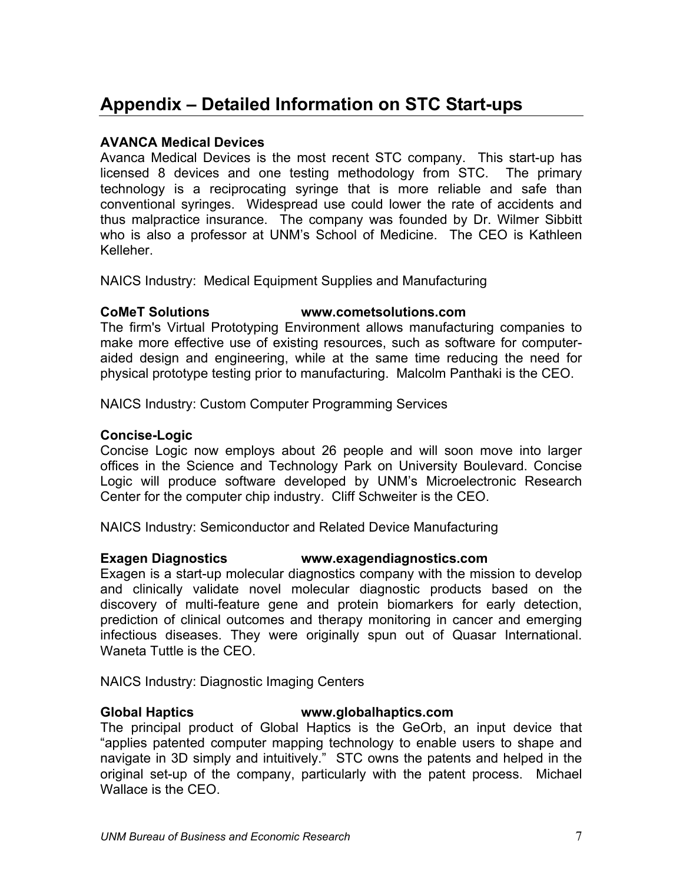# **Appendix – Detailed Information on STC Start-ups**

#### **AVANCA Medical Devices**

Avanca Medical Devices is the most recent STC company. This start-up has licensed 8 devices and one testing methodology from STC. The primary technology is a reciprocating syringe that is more reliable and safe than conventional syringes. Widespread use could lower the rate of accidents and thus malpractice insurance. The company was founded by Dr. Wilmer Sibbitt who is also a professor at UNM's School of Medicine. The CEO is Kathleen Kelleher.

NAICS Industry: Medical Equipment Supplies and Manufacturing

#### **CoMeT Solutions www.cometsolutions.com**

The firm's Virtual Prototyping Environment allows manufacturing companies to make more effective use of existing resources, such as software for computeraided design and engineering, while at the same time reducing the need for physical prototype testing prior to manufacturing. Malcolm Panthaki is the CEO.

NAICS Industry: Custom Computer Programming Services

#### **Concise-Logic**

Concise Logic now employs about 26 people and will soon move into larger offices in the Science and Technology Park on University Boulevard. Concise Logic will produce software developed by UNM's Microelectronic Research Center for the computer chip industry. Cliff Schweiter is the CEO.

NAICS Industry: Semiconductor and Related Device Manufacturing

#### **Exagen Diagnostics www.exagendiagnostics.com**

Exagen is a start-up molecular diagnostics company with the mission to develop and clinically validate novel molecular diagnostic products based on the discovery of multi-feature gene and protein biomarkers for early detection, prediction of clinical outcomes and therapy monitoring in cancer and emerging infectious diseases. They were originally spun out of Quasar International. Waneta Tuttle is the CEO.

NAICS Industry: Diagnostic Imaging Centers

#### **Global Haptics www.globalhaptics.com**

The principal product of Global Haptics is the GeOrb, an input device that "applies patented computer mapping technology to enable users to shape and navigate in 3D simply and intuitively." STC owns the patents and helped in the original set-up of the company, particularly with the patent process. Michael Wallace is the CFO.